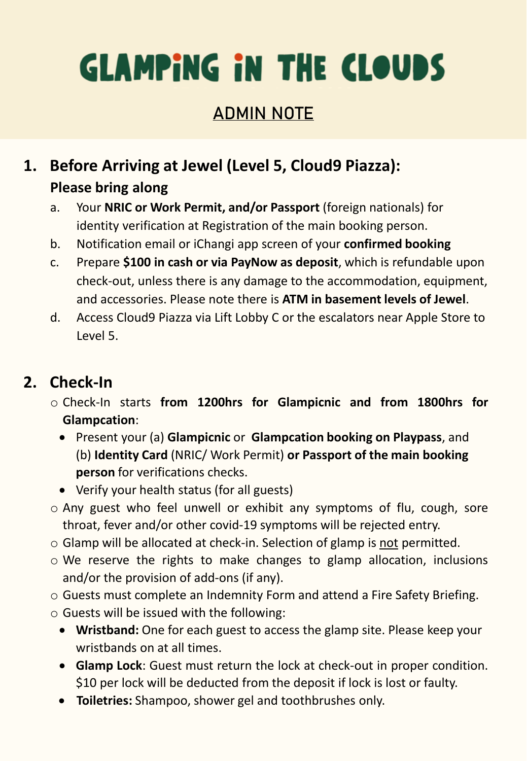## ADMIN NOTE

### **1. Before Arriving at Jewel (Level 5, Cloud9 Piazza): Please bring along**

- a. Your **NRIC or Work Permit, and/or Passport** (foreign nationals) for identity verification at Registration of the main booking person.
- b. Notification email or iChangi app screen of your **confirmed booking**
- c. Prepare **\$100 in cash or via PayNow as deposit**, which is refundable upon check-out, unless there is any damage to the accommodation, equipment, and accessories. Please note there is **ATM in basement levels of Jewel**.
- d. Access Cloud9 Piazza via Lift Lobby C or the escalators near Apple Store to Level 5.

#### **2. Check-In**

- o Check-In starts **from 1200hrs for Glampicnic and from 1800hrs for Glampcation**:
	- Present your (a) **Glampicnic** or **Glampcation booking on Playpass**, and (b) **Identity Card** (NRIC/ Work Permit) **or Passport of the main booking person** for verifications checks.
	- Verify your health status (for all guests)
- o Any guest who feel unwell or exhibit any symptoms of flu, cough, sore throat, fever and/or other covid-19 symptoms will be rejected entry.
- o Glamp will be allocated at check-in. Selection of glamp is not permitted.
- o We reserve the rights to make changes to glamp allocation, inclusions and/or the provision of add-ons (if any).
- o Guests must complete an Indemnity Form and attend a Fire Safety Briefing.
- o Guests will be issued with the following:
	- **Wristband:** One for each guest to access the glamp site. Please keep your wristbands on at all times.
	- **Glamp Lock**: Guest must return the lock at check-out in proper condition. \$10 per lock will be deducted from the deposit if lock is lost or faulty.
	- **Toiletries:** Shampoo, shower gel and toothbrushes only.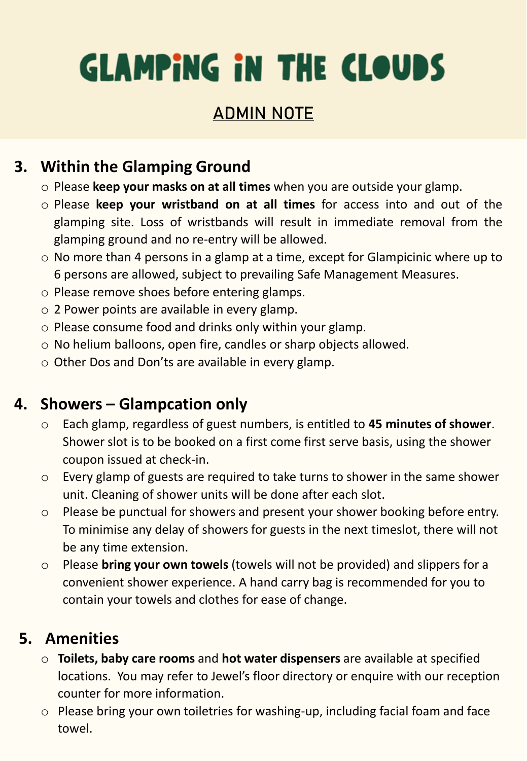## ADMIN NOTE

### **3. Within the Glamping Ground**

- o Please **keep your masks on at all times** when you are outside your glamp.
- o Please **keep your wristband on at all times** for access into and out of the glamping site. Loss of wristbands will result in immediate removal from the glamping ground and no re-entry will be allowed.
- o No more than 4 persons in a glamp at a time, except for Glampicinic where up to 6 persons are allowed, subject to prevailing Safe Management Measures.
- o Please remove shoes before entering glamps.
- o 2 Power points are available in every glamp.
- o Please consume food and drinks only within your glamp.
- o No helium balloons, open fire, candles or sharp objects allowed.
- o Other Dos and Don'ts are available in every glamp.

#### **4. Showers – Glampcation only**

- o Each glamp, regardless of guest numbers, is entitled to **45 minutes of shower**. Shower slot is to be booked on a first come first serve basis, using the shower coupon issued at check-in.
- o Every glamp of guests are required to take turns to shower in the same shower unit. Cleaning of shower units will be done after each slot.
- o Please be punctual for showers and present your shower booking before entry. To minimise any delay of showers for guests in the next timeslot, there will not be any time extension.
- o Please **bring your own towels** (towels will not be provided) and slippers for a convenient shower experience. A hand carry bag is recommended for you to contain your towels and clothes for ease of change.

#### **5. Amenities**

- o **Toilets, baby care rooms** and **hot water dispensers** are available at specified locations. You may refer to Jewel's floor directory or enquire with our reception counter for more information.
- o Please bring your own toiletries for washing-up, including facial foam and face towel.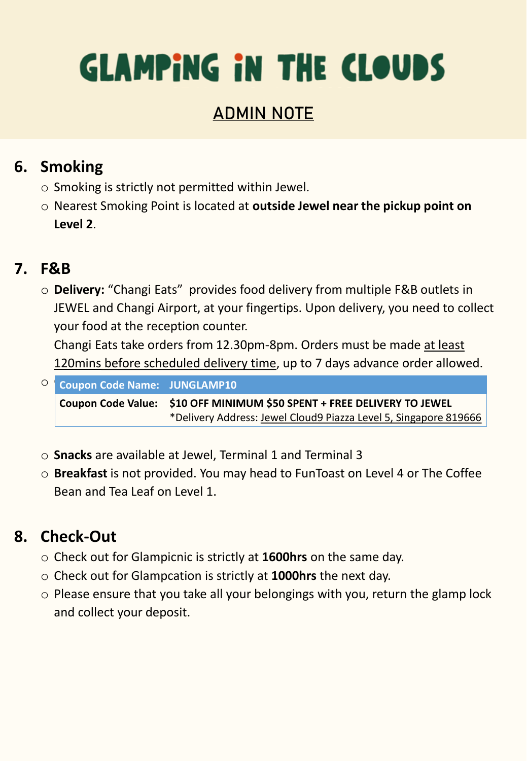## ADMIN NOTE

#### **6. Smoking**

- o Smoking is strictly not permitted within Jewel.
- o Nearest Smoking Point is located at **outside Jewel near the pickup point on Level 2**.

### **7. F&B**

o **Delivery:** "Changi Eats" provides food delivery from multiple F&B outlets in JEWEL and Changi Airport, at your fingertips. Upon delivery, you need to collect your food at the reception counter.

Changi Eats take orders from 12.30pm-8pm. Orders must be made at least 120mins before scheduled delivery time, up to 7 days advance order allowed.

**O** Coupon Code Name: JUNGLAMP10 **Coupon Code Value: \$10 OFF MINIMUM \$50 SPENT + FREE DELIVERY TO JEWEL** \*Delivery Address: Jewel Cloud9 Piazza Level 5, Singapore 819666

- o **Snacks** are available at Jewel, Terminal 1 and Terminal 3
- o **Breakfast** is not provided. You may head to FunToast on Level 4 or The Coffee Bean and Tea Leaf on Level 1.

## **8. Check-Out**

- o Check out for Glampicnic is strictly at **1600hrs** on the same day.
- o Check out for Glampcation is strictly at **1000hrs** the next day.
- o Please ensure that you take all your belongings with you, return the glamp lock and collect your deposit.